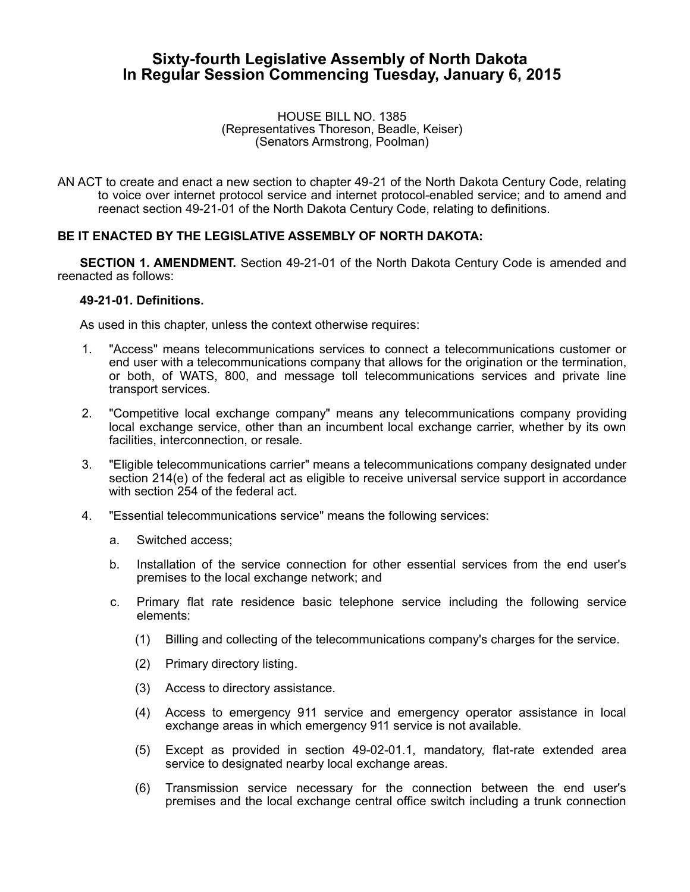# **Sixty-fourth Legislative Assembly of North Dakota In Regular Session Commencing Tuesday, January 6, 2015**

#### HOUSE BILL NO. 1385 (Representatives Thoreson, Beadle, Keiser) (Senators Armstrong, Poolman)

AN ACT to create and enact a new section to chapter 49-21 of the North Dakota Century Code, relating to voice over internet protocol service and internet protocol-enabled service; and to amend and reenact section 49-21-01 of the North Dakota Century Code, relating to definitions.

## **BE IT ENACTED BY THE LEGISLATIVE ASSEMBLY OF NORTH DAKOTA:**

**SECTION 1. AMENDMENT.** Section 49-21-01 of the North Dakota Century Code is amended and reenacted as follows:

### **49-21-01. Definitions.**

As used in this chapter, unless the context otherwise requires:

- 1. "Access" means telecommunications services to connect a telecommunications customer or end user with a telecommunications company that allows for the origination or the termination, or both, of WATS, 800, and message toll telecommunications services and private line transport services.
- 2. "Competitive local exchange company" means any telecommunications company providing local exchange service, other than an incumbent local exchange carrier, whether by its own facilities, interconnection, or resale.
- 3. "Eligible telecommunications carrier" means a telecommunications company designated under section 214(e) of the federal act as eligible to receive universal service support in accordance with section 254 of the federal act.
- 4. "Essential telecommunications service" means the following services:
	- a. Switched access;
	- b. Installation of the service connection for other essential services from the end user's premises to the local exchange network; and
	- c. Primary flat rate residence basic telephone service including the following service elements:
		- (1) Billing and collecting of the telecommunications company's charges for the service.
		- (2) Primary directory listing.
		- (3) Access to directory assistance.
		- (4) Access to emergency 911 service and emergency operator assistance in local exchange areas in which emergency 911 service is not available.
		- (5) Except as provided in section 49-02-01.1, mandatory, flat-rate extended area service to designated nearby local exchange areas.
		- (6) Transmission service necessary for the connection between the end user's premises and the local exchange central office switch including a trunk connection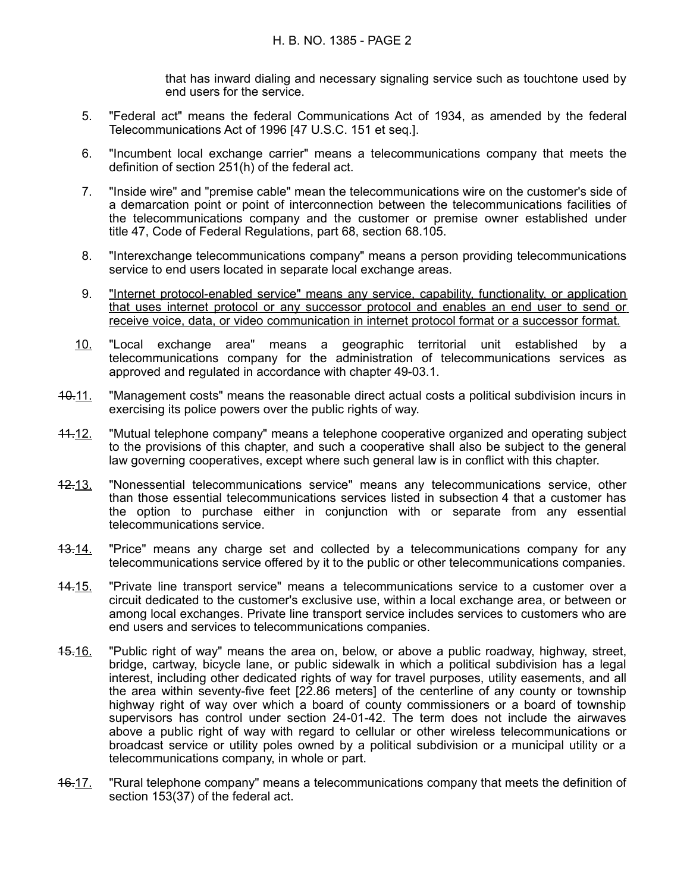that has inward dialing and necessary signaling service such as touchtone used by end users for the service.

- 5. "Federal act" means the federal Communications Act of 1934, as amended by the federal Telecommunications Act of 1996 [47 U.S.C. 151 et seq.].
- 6. "Incumbent local exchange carrier" means a telecommunications company that meets the definition of section 251(h) of the federal act.
- 7. "Inside wire" and "premise cable" mean the telecommunications wire on the customer's side of a demarcation point or point of interconnection between the telecommunications facilities of the telecommunications company and the customer or premise owner established under title 47, Code of Federal Regulations, part 68, section 68.105.
- 8. "Interexchange telecommunications company" means a person providing telecommunications service to end users located in separate local exchange areas.
- 9. "Internet protocol-enabled service" means any service, capability, functionality, or application that uses internet protocol or any successor protocol and enables an end user to send or receive voice, data, or video communication in internet protocol format or a successor format.
- 10. "Local exchange area" means a geographic territorial unit established by a telecommunications company for the administration of telecommunications services as approved and regulated in accordance with chapter 49-03.1.
- 10.11. "Management costs" means the reasonable direct actual costs a political subdivision incurs in exercising its police powers over the public rights of way.
- 11.12. "Mutual telephone company" means a telephone cooperative organized and operating subject to the provisions of this chapter, and such a cooperative shall also be subject to the general law governing cooperatives, except where such general law is in conflict with this chapter.
- 12.13. "Nonessential telecommunications service" means any telecommunications service, other than those essential telecommunications services listed in subsection 4 that a customer has the option to purchase either in conjunction with or separate from any essential telecommunications service.
- 13.14. "Price" means any charge set and collected by a telecommunications company for any telecommunications service offered by it to the public or other telecommunications companies.
- 14.15. "Private line transport service" means a telecommunications service to a customer over a circuit dedicated to the customer's exclusive use, within a local exchange area, or between or among local exchanges. Private line transport service includes services to customers who are end users and services to telecommunications companies.
- 15.16. "Public right of way" means the area on, below, or above a public roadway, highway, street, bridge, cartway, bicycle lane, or public sidewalk in which a political subdivision has a legal interest, including other dedicated rights of way for travel purposes, utility easements, and all the area within seventy-five feet [22.86 meters] of the centerline of any county or township highway right of way over which a board of county commissioners or a board of township supervisors has control under section 24-01-42. The term does not include the airwaves above a public right of way with regard to cellular or other wireless telecommunications or broadcast service or utility poles owned by a political subdivision or a municipal utility or a telecommunications company, in whole or part.
- 46.17. "Rural telephone company" means a telecommunications company that meets the definition of section 153(37) of the federal act.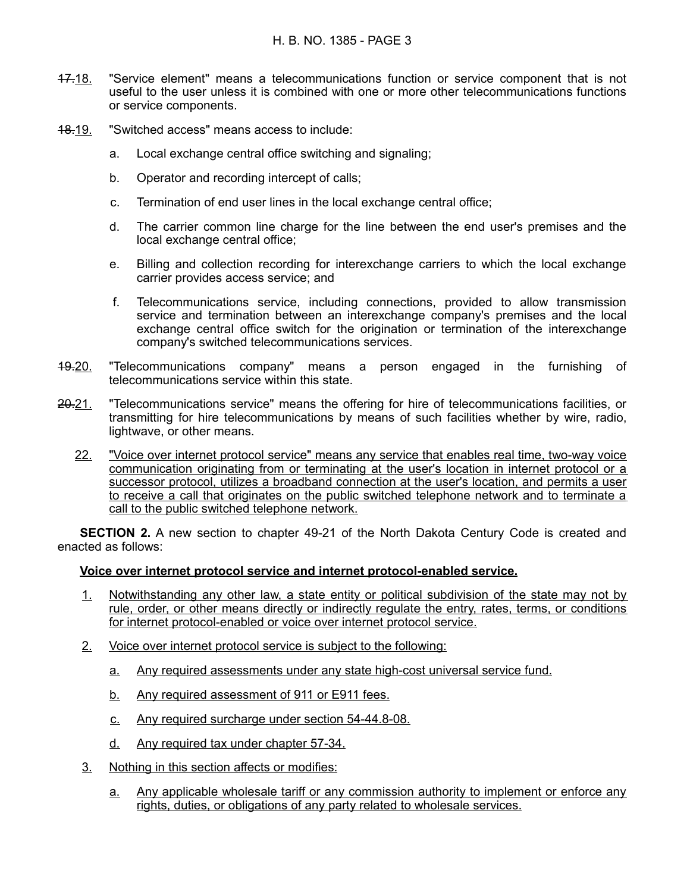- 17.18. "Service element" means a telecommunications function or service component that is not useful to the user unless it is combined with one or more other telecommunications functions or service components.
- 18.19. "Switched access" means access to include:
	- a. Local exchange central office switching and signaling;
	- b. Operator and recording intercept of calls;
	- c. Termination of end user lines in the local exchange central office;
	- d. The carrier common line charge for the line between the end user's premises and the local exchange central office;
	- e. Billing and collection recording for interexchange carriers to which the local exchange carrier provides access service; and
	- f. Telecommunications service, including connections, provided to allow transmission service and termination between an interexchange company's premises and the local exchange central office switch for the origination or termination of the interexchange company's switched telecommunications services.
- 19.20. "Telecommunications company" means a person engaged in the furnishing of telecommunications service within this state.
- 20.21. "Telecommunications service" means the offering for hire of telecommunications facilities, or transmitting for hire telecommunications by means of such facilities whether by wire, radio, lightwave, or other means.
	- 22. "Voice over internet protocol service" means any service that enables real time, two-way voice communication originating from or terminating at the user's location in internet protocol or a successor protocol, utilizes a broadband connection at the user's location, and permits a user to receive a call that originates on the public switched telephone network and to terminate a call to the public switched telephone network.

**SECTION 2.** A new section to chapter 49-21 of the North Dakota Century Code is created and enacted as follows:

### **Voice over internet protocol service and internet protocol-enabled service.**

- 1. Notwithstanding any other law, a state entity or political subdivision of the state may not by rule, order, or other means directly or indirectly regulate the entry, rates, terms, or conditions for internet protocol-enabled or voice over internet protocol service.
- 2. Voice over internet protocol service is subject to the following:
	- a. Any required assessments under any state high-cost universal service fund.
	- b. Any required assessment of 911 or E911 fees.
	- c. Any required surcharge under section 54-44.8-08.
	- d. Any required tax under chapter 57-34.
- 3. Nothing in this section affects or modifies:
	- a. Any applicable wholesale tariff or any commission authority to implement or enforce any rights, duties, or obligations of any party related to wholesale services.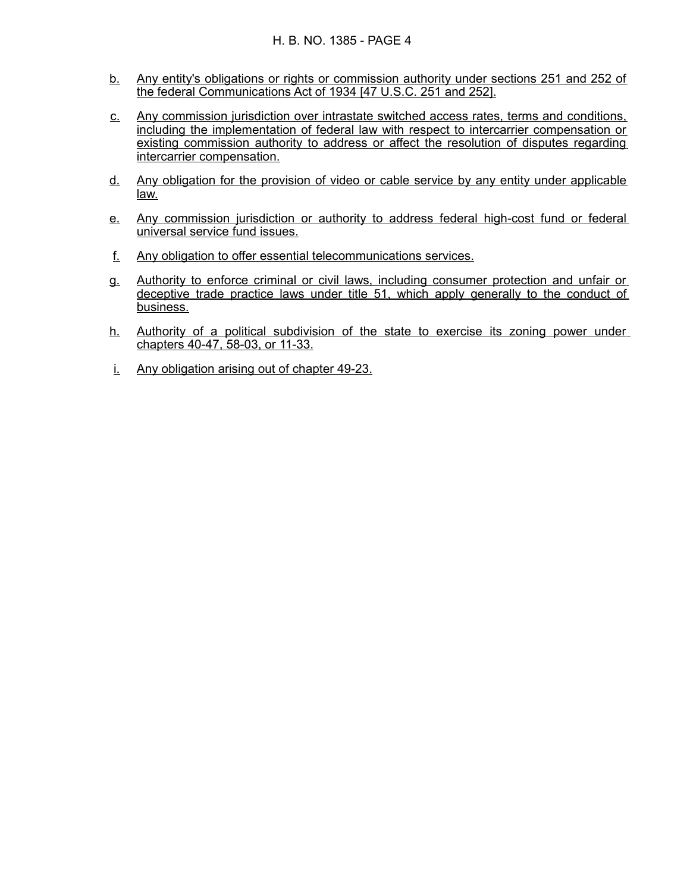- b. Any entity's obligations or rights or commission authority under sections 251 and 252 of the federal Communications Act of 1934 [47 U.S.C. 251 and 252].
- c. Any commission jurisdiction over intrastate switched access rates, terms and conditions, including the implementation of federal law with respect to intercarrier compensation or existing commission authority to address or affect the resolution of disputes regarding intercarrier compensation.
- d. Any obligation for the provision of video or cable service by any entity under applicable law.
- e. Any commission jurisdiction or authority to address federal high-cost fund or federal universal service fund issues.
- f. Any obligation to offer essential telecommunications services.
- g. Authority to enforce criminal or civil laws, including consumer protection and unfair or deceptive trade practice laws under title 51, which apply generally to the conduct of business.
- h. Authority of a political subdivision of the state to exercise its zoning power under chapters 40-47, 58-03, or 11-33.
- i. Any obligation arising out of chapter 49-23.